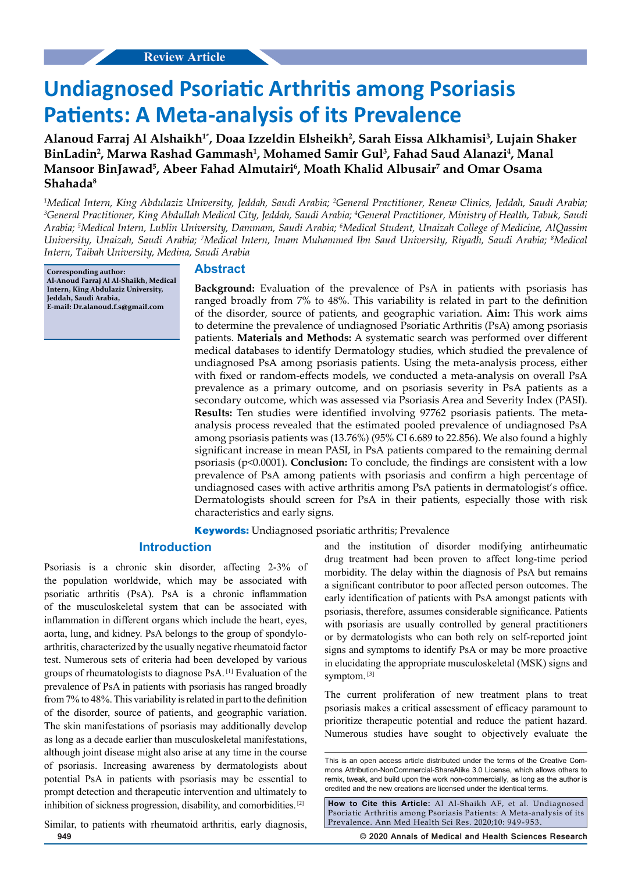# **Undiagnosed Psoriatic Arthritis among Psoriasis Patients: A Meta-analysis of its Prevalence**

**Alanoud Farraj Al Alshaikh1\*, Doaa Izzeldin Elsheikh2 , Sarah Eissa Alkhamisi3 , Lujain Shaker**  BinLadin<sup>2</sup>, Marwa Rashad Gammash<sup>1</sup>, Mohamed Samir Gul<sup>3</sup>, Fahad Saud Alanazi<sup>4</sup>, Manal **Mansoor BinJawad5 , Abeer Fahad Almutairi6 , Moath Khalid Albusair7 and Omar Osama Shahada8**

<sup>1</sup>Medical Intern, King Abdulaziz University, Jeddah, Saudi Arabia; <sup>2</sup>General Practitioner, Renew Clinics, Jeddah, Saudi Arabia;<br><sup>3</sup>General Practitioner, King Abdullah Medical City Jeddah, Saudi Arabia: <sup>4</sup>General Practit *General Practitioner, King Abdullah Medical City, Jeddah, Saudi Arabia; 4 General Practitioner, Ministry of Health, Tabuk, Saudi Arabia; 5 Medical Intern, Lublin University, Dammam, Saudi Arabia; 6 Medical Student, Unaizah College of Medicine, AlQassim University, Unaizah, Saudi Arabia; 7 Medical Intern, Imam Muhammed Ibn Saud University, Riyadh, Saudi Arabia; 8 Medical Intern, Taibah University, Medina, Saudi Arabia*

**Corresponding author: Al-Anoud Farraj Al Al-Shaikh, Medical Intern, King Abdulaziz University, Jeddah, Saudi Arabia, E-mail: Dr.alanoud.f.s@gmail.com**

# **Abstract**

**Background:** Evaluation of the prevalence of PsA in patients with psoriasis has ranged broadly from 7% to 48%. This variability is related in part to the definition of the disorder, source of patients, and geographic variation. **Aim:** This work aims to determine the prevalence of undiagnosed Psoriatic Arthritis (PsA) among psoriasis patients. **Materials and Methods:** A systematic search was performed over different medical databases to identify Dermatology studies, which studied the prevalence of undiagnosed PsA among psoriasis patients. Using the meta-analysis process, either with fixed or random-effects models, we conducted a meta-analysis on overall PsA prevalence as a primary outcome, and on psoriasis severity in PsA patients as a secondary outcome, which was assessed via Psoriasis Area and Severity Index (PASI). **Results:** Ten studies were identified involving 97762 psoriasis patients. The metaanalysis process revealed that the estimated pooled prevalence of undiagnosed PsA among psoriasis patients was (13.76%) (95% CI 6.689 to 22.856). We also found a highly significant increase in mean PASI, in PsA patients compared to the remaining dermal psoriasis (p<0.0001). **Conclusion:** To conclude, the findings are consistent with a low prevalence of PsA among patients with psoriasis and confirm a high percentage of undiagnosed cases with active arthritis among PsA patients in dermatologist's office. Dermatologists should screen for PsA in their patients, especially those with risk characteristics and early signs.

**Keywords:** Undiagnosed psoriatic arthritis; Prevalence

# **Introduction**

Psoriasis is a chronic skin disorder, affecting 2-3% of the population worldwide, which may be associated with psoriatic arthritis (PsA). PsA is a chronic inflammation of the musculoskeletal system that can be associated with inflammation in different organs which include the heart, eyes, aorta, lung, and kidney. PsA belongs to the group of spondyloarthritis, characterized by the usually negative rheumatoid factor test. Numerous sets of criteria had been developed by various groups of rheumatologists to diagnose PsA. [1] Evaluation of the prevalence of PsA in patients with psoriasis has ranged broadly from 7% to 48%. This variability is related in part to the definition of the disorder, source of patients, and geographic variation. The skin manifestations of psoriasis may additionally develop as long as a decade earlier than musculoskeletal manifestations, although joint disease might also arise at any time in the course of psoriasis. Increasing awareness by dermatologists about potential PsA in patients with psoriasis may be essential to prompt detection and therapeutic intervention and ultimately to inhibition of sickness progression, disability, and comorbidities. [2]

and the institution of disorder modifying antirheumatic drug treatment had been proven to affect long-time period morbidity. The delay within the diagnosis of PsA but remains a significant contributor to poor affected person outcomes. The early identification of patients with PsA amongst patients with psoriasis, therefore, assumes considerable significance. Patients with psoriasis are usually controlled by general practitioners or by dermatologists who can both rely on self-reported joint signs and symptoms to identify PsA or may be more proactive in elucidating the appropriate musculoskeletal (MSK) signs and symptom.<sup>[3]</sup>

The current proliferation of new treatment plans to treat psoriasis makes a critical assessment of efficacy paramount to prioritize therapeutic potential and reduce the patient hazard. Numerous studies have sought to objectively evaluate the

**How to Cite this Article:** Al Al-Shaikh AF, et al. Undiagnosed Psoriatic Arthritis among Psoriasis Patients: A Meta-analysis of its Prevalence. Ann Med Health Sci Res. 2020;10: 949-953.

**949 © 2020 Annals of Medical and Health Sciences Research** 

Similar, to patients with rheumatoid arthritis, early diagnosis,

This is an open access article distributed under the terms of the Creative Commons Attribution-NonCommercial-ShareAlike 3.0 License, which allows others to remix, tweak, and build upon the work non‑commercially, as long as the author is credited and the new creations are licensed under the identical terms.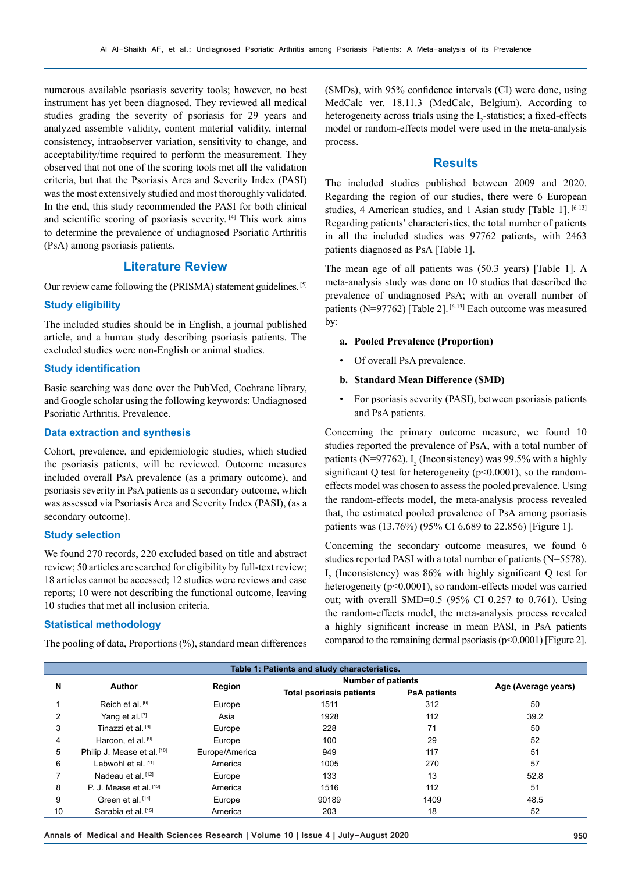numerous available psoriasis severity tools; however, no best instrument has yet been diagnosed. They reviewed all medical studies grading the severity of psoriasis for 29 years and analyzed assemble validity, content material validity, internal consistency, intraobserver variation, sensitivity to change, and acceptability/time required to perform the measurement. They observed that not one of the scoring tools met all the validation criteria, but that the Psoriasis Area and Severity Index (PASI) was the most extensively studied and most thoroughly validated. In the end, this study recommended the PASI for both clinical and scientific scoring of psoriasis severity. [4] This work aims to determine the prevalence of undiagnosed Psoriatic Arthritis (PsA) among psoriasis patients.

# **Literature Review**

Our review came following the (PRISMA) statement guidelines. [5]

### **Study eligibility**

The included studies should be in English, a journal published article, and a human study describing psoriasis patients. The excluded studies were non-English or animal studies.

## **Study identification**

Basic searching was done over the PubMed, Cochrane library, and Google scholar using the following keywords: Undiagnosed Psoriatic Arthritis, Prevalence.

### **Data extraction and synthesis**

Cohort, prevalence, and epidemiologic studies, which studied the psoriasis patients, will be reviewed. Outcome measures included overall PsA prevalence (as a primary outcome), and psoriasis severity in PsA patients as a secondary outcome, which was assessed via Psoriasis Area and Severity Index (PASI), (as a secondary outcome).

#### **Study selection**

We found 270 records, 220 excluded based on title and abstract review; 50 articles are searched for eligibility by full-text review; 18 articles cannot be accessed; 12 studies were reviews and case reports; 10 were not describing the functional outcome, leaving 10 studies that met all inclusion criteria.

## **Statistical methodology**

The pooling of data, Proportions (%), standard mean differences

(SMDs), with 95% confidence intervals (CI) were done, using MedCalc ver. 18.11.3 (MedCalc, Belgium). According to heterogeneity across trials using the  $I_2$ -statistics; a fixed-effects model or random-effects model were used in the meta-analysis process.

### **Results**

The included studies published between 2009 and 2020. Regarding the region of our studies, there were 6 European studies, 4 American studies, and 1 Asian study [Table 1]. [6-13] Regarding patients' characteristics, the total number of patients in all the included studies was 97762 patients, with 2463 patients diagnosed as PsA [Table 1].

The mean age of all patients was (50.3 years) [Table 1]. A meta-analysis study was done on 10 studies that described the prevalence of undiagnosed PsA; with an overall number of patients (N=97762) [Table 2]. [6-13] Each outcome was measured by:

## **a. Pooled Prevalence (Proportion)**

• Of overall PsA prevalence.

### **b. Standard Mean Difference (SMD)**

• For psoriasis severity (PASI), between psoriasis patients and PsA patients.

Concerning the primary outcome measure, we found 10 studies reported the prevalence of PsA, with a total number of patients (N=97762).  $I_2$  (Inconsistency) was 99.5% with a highly significant Q test for heterogeneity ( $p<0.0001$ ), so the randomeffects model was chosen to assess the pooled prevalence. Using the random-effects model, the meta-analysis process revealed that, the estimated pooled prevalence of PsA among psoriasis patients was (13.76%) (95% CI 6.689 to 22.856) [Figure 1].

Concerning the secondary outcome measures, we found 6 studies reported PASI with a total number of patients (N=5578).  $I_2$  (Inconsistency) was 86% with highly significant Q test for heterogeneity (p<0.0001), so random-effects model was carried out; with overall SMD=0.5 (95% CI 0.257 to 0.761). Using the random-effects model, the meta-analysis process revealed a highly significant increase in mean PASI, in PsA patients compared to the remaining dermal psoriasis (p<0.0001) [Figure 2].

| Table 1: Patients and study characteristics. |                             |                |                                 |                     |                     |  |  |  |  |  |
|----------------------------------------------|-----------------------------|----------------|---------------------------------|---------------------|---------------------|--|--|--|--|--|
| N                                            | <b>Author</b>               | Region         | <b>Number of patients</b>       |                     |                     |  |  |  |  |  |
|                                              |                             |                | <b>Total psoriasis patients</b> | <b>PsA patients</b> | Age (Average years) |  |  |  |  |  |
|                                              | Reich et al. [6]            | Europe         | 1511                            | 312                 | 50                  |  |  |  |  |  |
| 2                                            | Yang et al. [7]             | Asia           | 1928                            | 112                 | 39.2                |  |  |  |  |  |
| 3                                            | Tinazzi et al. [8]          | Europe         | 228                             | 71                  | 50                  |  |  |  |  |  |
| 4                                            | Haroon, et al. [9]          | Europe         | 100                             | 29                  | 52                  |  |  |  |  |  |
| 5                                            | Philip J. Mease et al. [10] | Europe/America | 949                             | 117                 | 51                  |  |  |  |  |  |
| 6                                            | Lebwohl et al. $[11]$       | America        | 1005                            | 270                 | 57                  |  |  |  |  |  |
|                                              | Nadeau et al. [12]          | Europe         | 133                             | 13                  | 52.8                |  |  |  |  |  |
| 8                                            | P. J. Mease et al. $[13]$   | America        | 1516                            | 112                 | 51                  |  |  |  |  |  |
| 9                                            | Green et al. [14]           | Europe         | 90189                           | 1409                | 48.5                |  |  |  |  |  |
| 10                                           | Sarabia et al. [15]         | America        | 203                             | 18                  | 52                  |  |  |  |  |  |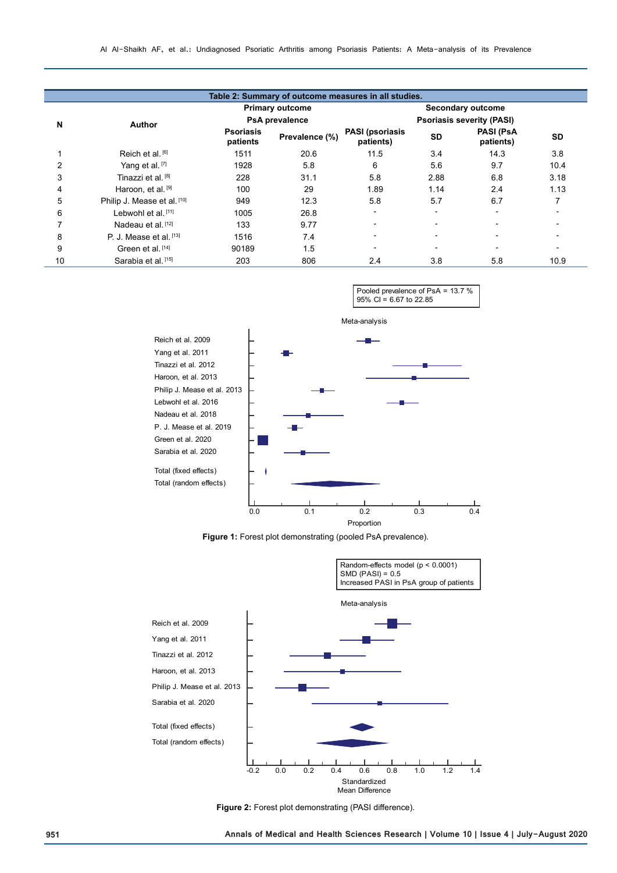|    |                                |                                                 |                | Table 2: Summary of outcome measures in all studies.         |           |                               |           |
|----|--------------------------------|-------------------------------------------------|----------------|--------------------------------------------------------------|-----------|-------------------------------|-----------|
|    |                                | <b>Primary outcome</b><br><b>PsA</b> prevalence |                | <b>Secondary outcome</b><br><b>Psoriasis severity (PASI)</b> |           |                               |           |
| N  | <b>Author</b>                  |                                                 |                |                                                              |           |                               |           |
|    |                                | <b>Psoriasis</b><br>patients                    | Prevalence (%) | <b>PASI (psoriasis</b><br>patients)                          | <b>SD</b> | <b>PASI (PsA</b><br>patients) | <b>SD</b> |
|    | Reich et al. [6]               | 1511                                            | 20.6           | 11.5                                                         | 3.4       | 14.3                          | 3.8       |
|    | Yang et al. [7]                | 1928                                            | 5.8            | 6                                                            | 5.6       | 9.7                           | 10.4      |
| 3  | Tinazzi et al. [8]             | 228                                             | 31.1           | 5.8                                                          | 2.88      | 6.8                           | 3.18      |
| 4  | Haroon, et al. [9]             | 100                                             | 29             | 1.89                                                         | 1.14      | 2.4                           | 1.13      |
| 5  | Philip J. Mease et al. [10]    | 949                                             | 12.3           | 5.8                                                          | 5.7       | 6.7                           |           |
| 6  | Lebwohl et al. [11]            | 1005                                            | 26.8           | -                                                            | -         | ۰                             |           |
|    | Nadeau et al. [12]             | 133                                             | 9.77           | $\blacksquare$                                               |           | $\blacksquare$                |           |
| 8  | P. J. Mease et al. $[13]$      | 1516                                            | 7.4            | -                                                            |           |                               |           |
| 9  | Green et al. [14]              | 90189                                           | 1.5            | $\blacksquare$                                               |           | $\blacksquare$                |           |
| 10 | Sarabia et al. <sup>[15]</sup> | 203                                             | 806            | 2.4                                                          | 3.8       | 5.8                           | 10.9      |



**Figure 1:** Forest plot demonstrating (pooled PsA prevalence).



**Figure 2:** Forest plot demonstrating (PASI difference).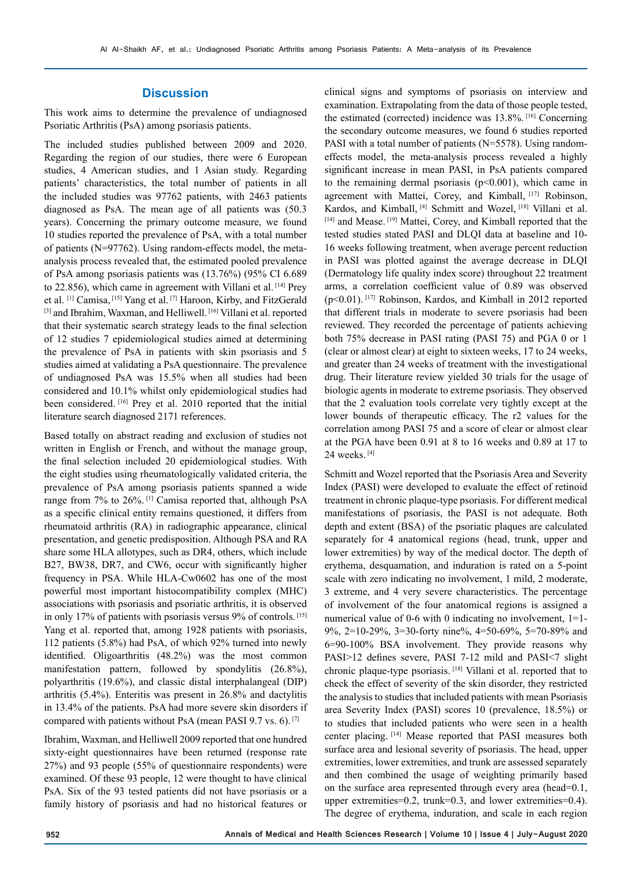#### **Discussion**

This work aims to determine the prevalence of undiagnosed Psoriatic Arthritis (PsA) among psoriasis patients.

The included studies published between 2009 and 2020. Regarding the region of our studies, there were 6 European studies, 4 American studies, and 1 Asian study. Regarding patients' characteristics, the total number of patients in all the included studies was 97762 patients, with 2463 patients diagnosed as PsA. The mean age of all patients was (50.3 years). Concerning the primary outcome measure, we found 10 studies reported the prevalence of PsA, with a total number of patients (N=97762). Using random-effects model, the metaanalysis process revealed that, the estimated pooled prevalence of PsA among psoriasis patients was (13.76%) (95% CI 6.689 to 22.856), which came in agreement with Villani et al. [14] Prey et al. [1] Camisa, [15] Yang et al. [7] Haroon, Kirby, and FitzGerald [3] and Ibrahim, Waxman, and Helliwell. [16] Villani et al. reported that their systematic search strategy leads to the final selection of 12 studies 7 epidemiological studies aimed at determining the prevalence of PsA in patients with skin psoriasis and 5 studies aimed at validating a PsA questionnaire. The prevalence of undiagnosed PsA was 15.5% when all studies had been considered and 10.1% whilst only epidemiological studies had been considered. [16] Prey et al. 2010 reported that the initial literature search diagnosed 2171 references.

Based totally on abstract reading and exclusion of studies not written in English or French, and without the manage group, the final selection included 20 epidemiological studies. With the eight studies using rheumatologically validated criteria, the prevalence of PsA among psoriasis patients spanned a wide range from 7% to 26%. [1] Camisa reported that, although PsA as a specific clinical entity remains questioned, it differs from rheumatoid arthritis (RA) in radiographic appearance, clinical presentation, and genetic predisposition. Although PSA and RA share some HLA allotypes, such as DR4, others, which include B27, BW38, DR7, and CW6, occur with significantly higher frequency in PSA. While HLA-Cw0602 has one of the most powerful most important histocompatibility complex (MHC) associations with psoriasis and psoriatic arthritis, it is observed in only 17% of patients with psoriasis versus 9% of controls. [15] Yang et al. reported that, among 1928 patients with psoriasis, 112 patients (5.8%) had PsA, of which 92% turned into newly identified. Oligoarthritis (48.2%) was the most common manifestation pattern, followed by spondylitis (26.8%), polyarthritis (19.6%), and classic distal interphalangeal (DIP) arthritis (5.4%). Enteritis was present in 26.8% and dactylitis in 13.4% of the patients. PsA had more severe skin disorders if compared with patients without PsA (mean PASI 9.7 vs. 6). [7]

Ibrahim, Waxman, and Helliwell 2009 reported that one hundred sixty-eight questionnaires have been returned (response rate 27%) and 93 people (55% of questionnaire respondents) were examined. Of these 93 people, 12 were thought to have clinical PsA. Six of the 93 tested patients did not have psoriasis or a family history of psoriasis and had no historical features or

clinical signs and symptoms of psoriasis on interview and examination. Extrapolating from the data of those people tested, the estimated (corrected) incidence was 13.8%. [16] Concerning the secondary outcome measures, we found 6 studies reported PASI with a total number of patients (N=5578). Using randomeffects model, the meta-analysis process revealed a highly significant increase in mean PASI, in PsA patients compared to the remaining dermal psoriasis  $(p<0.001)$ , which came in agreement with Mattei, Corey, and Kimball, [17] Robinson, Kardos, and Kimball, <a>[4]</a> Schmitt and Wozel, <a>[18]</a> Villani et al. [14] and Mease. [19] Mattei, Corey, and Kimball reported that the tested studies stated PASI and DLQI data at baseline and 10- 16 weeks following treatment, when average percent reduction in PASI was plotted against the average decrease in DLQI (Dermatology life quality index score) throughout 22 treatment arms, a correlation coefficient value of 0.89 was observed (p<0.01). [17] Robinson, Kardos, and Kimball in 2012 reported that different trials in moderate to severe psoriasis had been reviewed. They recorded the percentage of patients achieving both 75% decrease in PASI rating (PASI 75) and PGA 0 or 1 (clear or almost clear) at eight to sixteen weeks, 17 to 24 weeks, and greater than 24 weeks of treatment with the investigational drug. Their literature review yielded 30 trials for the usage of biologic agents in moderate to extreme psoriasis. They observed that the 2 evaluation tools correlate very tightly except at the lower bounds of therapeutic efficacy. The r2 values for the correlation among PASI 75 and a score of clear or almost clear at the PGA have been 0.91 at 8 to 16 weeks and 0.89 at 17 to 24 weeks. [4]

Schmitt and Wozel reported that the Psoriasis Area and Severity Index (PASI) were developed to evaluate the effect of retinoid treatment in chronic plaque-type psoriasis. For different medical manifestations of psoriasis, the PASI is not adequate. Both depth and extent (BSA) of the psoriatic plaques are calculated separately for 4 anatomical regions (head, trunk, upper and lower extremities) by way of the medical doctor. The depth of erythema, desquamation, and induration is rated on a 5-point scale with zero indicating no involvement, 1 mild, 2 moderate, 3 extreme, and 4 very severe characteristics. The percentage of involvement of the four anatomical regions is assigned a numerical value of 0-6 with 0 indicating no involvement, 1=1-9%, 2=10-29%, 3=30-forty nine%, 4=50-69%, 5=70-89% and 6=90-100% BSA involvement. They provide reasons why PASI>12 defines severe, PASI 7-12 mild and PASI<7 slight chronic plaque-type psoriasis. [18] Villani et al. reported that to check the effect of severity of the skin disorder, they restricted the analysis to studies that included patients with mean Psoriasis area Severity Index (PASI) scores 10 (prevalence, 18.5%) or to studies that included patients who were seen in a health center placing. [14] Mease reported that PASI measures both surface area and lesional severity of psoriasis. The head, upper extremities, lower extremities, and trunk are assessed separately and then combined the usage of weighting primarily based on the surface area represented through every area (head=0.1, upper extremities=0.2, trunk=0.3, and lower extremities=0.4). The degree of erythema, induration, and scale in each region